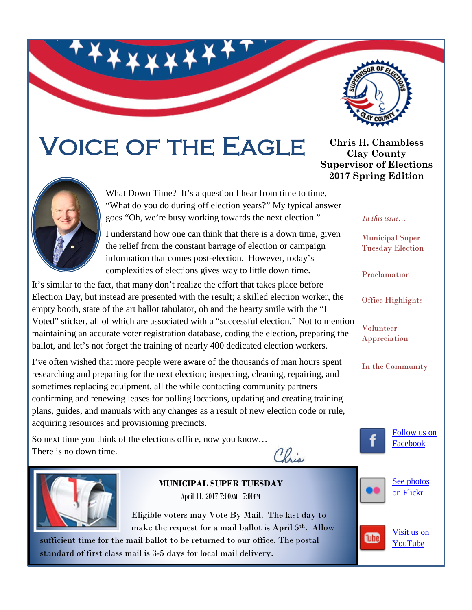

# Voice of the Eagle



What Down Time? It's a question I hear from time to time, "What do you do during off election years?" My typical answer goes "Oh, we're busy working towards the next election."

I understand how one can think that there is a down time, given the relief from the constant barrage of election or campaign information that comes post-election. However, today's complexities of elections gives way to little down time.

It's similar to the fact, that many don't realize the effort that takes place before Election Day, but instead are presented with the result; a skilled election worker, the empty booth, state of the art ballot tabulator, oh and the hearty smile with the "I Voted" sticker, all of which are associated with a "successful election." Not to mention maintaining an accurate voter registration database, coding the election, preparing the ballot, and let's not forget the training of nearly 400 dedicated election workers.

I've often wished that more people were aware of the thousands of man hours spent researching and preparing for the next election; inspecting, cleaning, repairing, and sometimes replacing equipment, all the while contacting community partners confirming and renewing leases for polling locations, updating and creating training plans, guides, and manuals with any changes as a result of new election code or rule, acquiring resources and provisioning precincts.

So next time you think of the elections office, now you know… There is no down time.





**MUNICIPAL SUPER TUESDAY** April 11, 2017 7:00AM - 7:00PM

Eligible voters may Vote By Mail. The last day to make the request for a mail ballot is April 5th. Allow

sufficient time for the mail ballot to be returned to our office. The postal standard of first class mail is 3-5 days for local mail delivery.

**Chris H. Chambless Clay County Supervisor of Elections 2017 Spring Edition**

*In this issue…*

Municipal Super Tuesday Election

Proclamation

Office Highlights

Volunteer Appreciation

In the Community

[Follow us on](https://www.facebook.com/pages/Clay-County-Supervisor-of-Elections-Florida/86678192186?ref=ts)  [Facebook](https://www.facebook.com/pages/Clay-County-Supervisor-of-Elections-Florida/86678192186?ref=ts)





Tube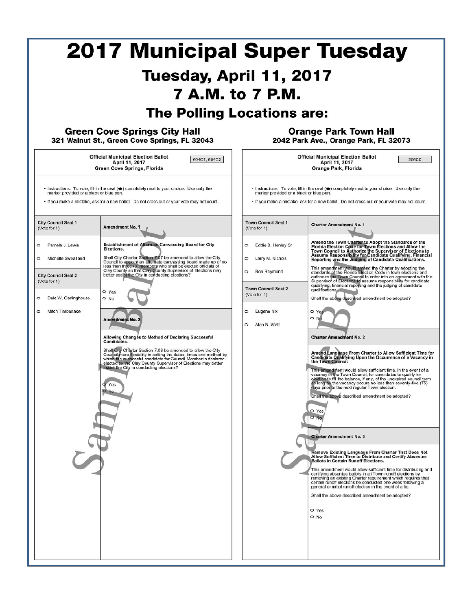| <b>2017 Municipal Super Tuesday</b><br>Tuesday, April 11, 2017<br>7 A.M. to 7 P.M.<br><b>The Polling Locations are:</b>                                                                                                                                              |                                                                                                                                                                                                                                                                                                                                                                                                                                                                                                                                                                                                                                                                                                                                                                                                                                                                                                                                                                                                                                                              |                                                                                                                                                                                                                                                                                                                                                                                                                                                                                                                                                                                                                                                                                                                                                                                                                                                                                                                                                                                                                                                                                                                                                                                                                                                                                                                                                                                                                                                                                                                                                                                                                                                                                                                                                                                                                                                                                                                                                                                                                                                                                                                                                                                                                                                                                                                                                                                                                                              |
|----------------------------------------------------------------------------------------------------------------------------------------------------------------------------------------------------------------------------------------------------------------------|--------------------------------------------------------------------------------------------------------------------------------------------------------------------------------------------------------------------------------------------------------------------------------------------------------------------------------------------------------------------------------------------------------------------------------------------------------------------------------------------------------------------------------------------------------------------------------------------------------------------------------------------------------------------------------------------------------------------------------------------------------------------------------------------------------------------------------------------------------------------------------------------------------------------------------------------------------------------------------------------------------------------------------------------------------------|----------------------------------------------------------------------------------------------------------------------------------------------------------------------------------------------------------------------------------------------------------------------------------------------------------------------------------------------------------------------------------------------------------------------------------------------------------------------------------------------------------------------------------------------------------------------------------------------------------------------------------------------------------------------------------------------------------------------------------------------------------------------------------------------------------------------------------------------------------------------------------------------------------------------------------------------------------------------------------------------------------------------------------------------------------------------------------------------------------------------------------------------------------------------------------------------------------------------------------------------------------------------------------------------------------------------------------------------------------------------------------------------------------------------------------------------------------------------------------------------------------------------------------------------------------------------------------------------------------------------------------------------------------------------------------------------------------------------------------------------------------------------------------------------------------------------------------------------------------------------------------------------------------------------------------------------------------------------------------------------------------------------------------------------------------------------------------------------------------------------------------------------------------------------------------------------------------------------------------------------------------------------------------------------------------------------------------------------------------------------------------------------------------------------------------------------|
| <b>Green Cove Springs City Hall</b><br>321 Walnut St., Green Cove Springs, FL 32043<br><b>Official Municipal Election Ballot</b><br>604C1, 604C2<br>April 11, 2017<br>Green Cove Springs, Florida                                                                    |                                                                                                                                                                                                                                                                                                                                                                                                                                                                                                                                                                                                                                                                                                                                                                                                                                                                                                                                                                                                                                                              | <b>Orange Park Town Hall</b><br>2042 Park Ave., Orange Park, FL 32073<br><b>Official Municipal Election Ballot</b><br><b>206C0</b><br>April 11, 2017<br>Orange Park, Florida                                                                                                                                                                                                                                                                                                                                                                                                                                                                                                                                                                                                                                                                                                                                                                                                                                                                                                                                                                                                                                                                                                                                                                                                                                                                                                                                                                                                                                                                                                                                                                                                                                                                                                                                                                                                                                                                                                                                                                                                                                                                                                                                                                                                                                                                 |
| marker provided or a black or blue pen.<br><b>City Council Seat 1</b><br>(Vote for 1)<br>Pamela J. Lewis<br>$\circ$<br>Michelle Sweatland<br>$\circ$<br><b>City Council Seat 2</b><br>(Vote for 1)<br>Dale W. Garlinghouse<br>$\circ$<br>Mitch Timberlake<br>$\circ$ | • Instructions: To vote, fill in the oval ( $\bullet$ ) completely next to your choice. Use only the<br>. If you make a mistake, ask for a new ballot. Do not cross out or your vote may not count.<br>Amendment No. 1<br><b>Establishment of Alternate Canvassing Board for City</b><br>Elections.<br>Shall City Charter Section 7.07 be amended to allow the City<br>Council to appoint an attemate canvassing board made up of no<br>less than three (3) members who shall be elected officials of<br>Clay County so that Clay County Supervisor of Elections may<br>better assist the City in conducting elections?<br>O Yes<br>O No<br>Amendment No. 2<br>Allowing Changes to Method of Declaring Successful<br>Candidates.<br>Shall City Charter Section 7.08 be amended to allow the City<br>Source flexibility in setting the dates, times and method by<br>which the successful candidate for Council Member is declared<br>elected so the Clay County Supervisor of Elections may better<br>assist the City in conducting elections?<br>Yes<br>iNo | • Instructions: To vote, fill in the oval ( $\bullet$ ) completely next to your choice. Use only the<br>marker provided or a black or blue pen.<br>. If you make a mistake, ask for a new ballot. Do not cross out or your vote may not count.<br><b>Town Council Seat 1</b><br><b>Charter Amendment No. 1</b><br>(Vote for 1)<br>Amend the Town Charter to Adopt the Standards of the<br>Eddie B. Henley Sr<br>$\circ$<br>Florida Election Code for Town Elections and Allow the<br>Town Council to Authorize the Supervisor of Elections to<br>Assume Responsibility for Candidate Qualifying, Financial<br>Reporting and the Judging of Candidate Qualifications.<br>Larry M. Nichols<br>$\circ$<br>This amendment would amend the Charter by adopting the<br>Ron Raymond<br>$\circ$<br>standards of the Florida Election Code in town elections and<br>authorize the Town Council to enter into an agreement with the<br>Supervisor of Elections to assume responsibility for candidate<br>qualifying, financial reporting and the judging of candidate<br><b>Town Council Seat 2</b><br>qualifications.<br>(Vote for 1)<br>Shall the above described amendment be adopted?<br>Eugene Nix<br>$\circ$<br>O Yes<br>O N<br>Alan N. Watt<br>$\circ$<br><b>Charter Amendment No. 2</b><br>Amend Language From Charter to Allow Sufficient Time for<br>Candidate Qualifying Upon the Occurrence of a Vacancy in<br>the Town Council.<br>This amendment would allow sufficient time, in the event of a<br>he Town Council, for candidates to qualify for<br>vacancy in t<br>election to fill the balance, if any, of the unexpired council term<br>so long as the vacancy occurs no less than seventy-five (75)<br>days prior to the next regular Town election.<br>Shall the above described amendment be adopted?<br>O Yes<br>$\circ$ No<br><b>Charter Amendment No. 3</b><br>Remove Existing Language From Charter That Does Not<br>Allow Sufficient Time to Distribute and Certify Absentee<br><b>Ballots in Certain Runoff Elections.</b><br>This amendment would allow sufficient time for distributing and<br>certifying absentee ballots in all Town runoff elections by<br>removing an existing Charter requirement which requires that<br>certain runoff elections be conducted one week following a<br>general or initial runoff election in the event of a tie.<br>Shall the above described amendment be adopted?<br>O Yes<br>O No |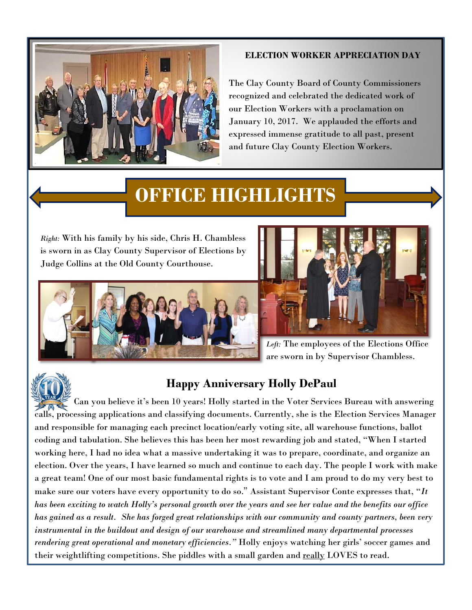

#### **ELECTION WORKER APPRECIATION DAY**

The Clay County Board of County Commissioners recognized and celebrated the dedicated work of our Election Workers with a proclamation on January 10, 2017. We applauded the efforts and expressed immense gratitude to all past, present and future Clay County Election Workers.

## **OFFICE HIGHLIGHTS**

*Right:* With his family by his side, Chris H. Chambless is sworn in as Clay County Supervisor of Elections by Judge Collins at the Old County Courthouse.





*Left:* The employees of the Elections Office are sworn in by Supervisor Chambless.



### **Happy Anniversary Holly DePaul**

 Can you believe it's been 10 years! Holly started in the Voter Services Bureau with answering calls, processing applications and classifying documents. Currently, she is the Election Services Manager and responsible for managing each precinct location/early voting site, all warehouse functions, ballot coding and tabulation. She believes this has been her most rewarding job and stated, "When I started working here, I had no idea what a massive undertaking it was to prepare, coordinate, and organize an election. Over the years, I have learned so much and continue to each day. The people I work with make a great team! One of our most basic fundamental rights is to vote and I am proud to do my very best to make sure our voters have every opportunity to do so." Assistant Supervisor Conte expresses that, "*It has been exciting to watch Holly's personal growth over the years and see her value and the benefits our office has gained as a result. She has forged great relationships with our community and county partners, been very instrumental in the buildout and design of our warehouse and streamlined many departmental processes rendering great operational and monetary efficiencies."* Holly enjoys watching her girls' soccer games and their weightlifting competitions. She piddles with a small garden and really LOVES to read.